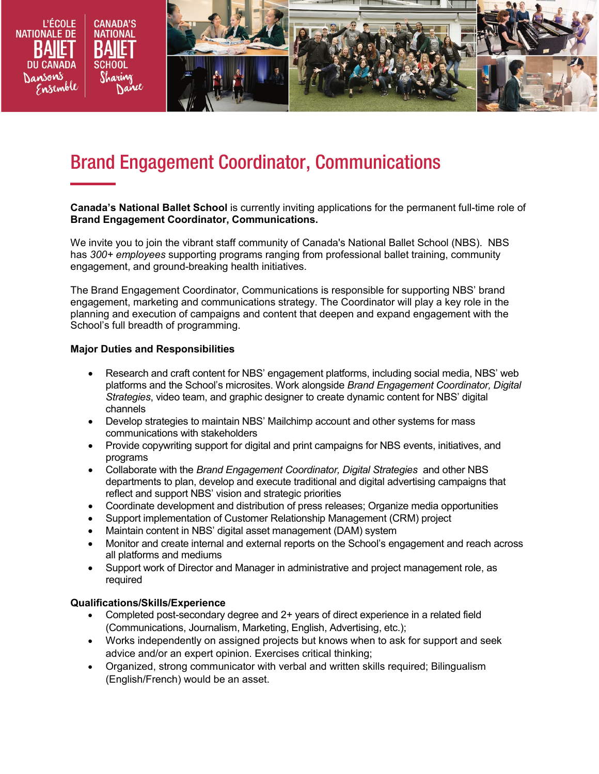

# Brand Engagement Coordinator, Communications

**Canada's National Ballet School** is currently inviting applications for the permanent full-time role of **Brand Engagement Coordinator, Communications.** 

We invite you to join the vibrant staff community of Canada's National Ballet School (NBS). NBS has *300+ employees* supporting programs ranging from professional ballet training, community engagement, and ground-breaking health initiatives.

The Brand Engagement Coordinator, Communications is responsible for supporting NBS' brand engagement, marketing and communications strategy. The Coordinator will play a key role in the planning and execution of campaigns and content that deepen and expand engagement with the School's full breadth of programming.

### **Major Duties and Responsibilities**

- Research and craft content for NBS' engagement platforms, including social media, NBS' web platforms and the School's microsites. Work alongside *Brand Engagement Coordinator, Digital Strategies*, video team, and graphic designer to create dynamic content for NBS' digital channels
- Develop strategies to maintain NBS' Mailchimp account and other systems for mass communications with stakeholders
- Provide copywriting support for digital and print campaigns for NBS events, initiatives, and programs
- Collaborate with the *Brand Engagement Coordinator, Digital Strategies* and other NBS departments to plan, develop and execute traditional and digital advertising campaigns that reflect and support NBS' vision and strategic priorities
- Coordinate development and distribution of press releases; Organize media opportunities
- Support implementation of Customer Relationship Management (CRM) project
- Maintain content in NBS' digital asset management (DAM) system
- Monitor and create internal and external reports on the School's engagement and reach across all platforms and mediums
- Support work of Director and Manager in administrative and project management role, as required

#### **Qualifications/Skills/Experience**

- Completed post-secondary degree and 2+ years of direct experience in a related field (Communications, Journalism, Marketing, English, Advertising, etc.);
- Works independently on assigned projects but knows when to ask for support and seek advice and/or an expert opinion. Exercises critical thinking;
- Organized, strong communicator with verbal and written skills required; Bilingualism (English/French) would be an asset.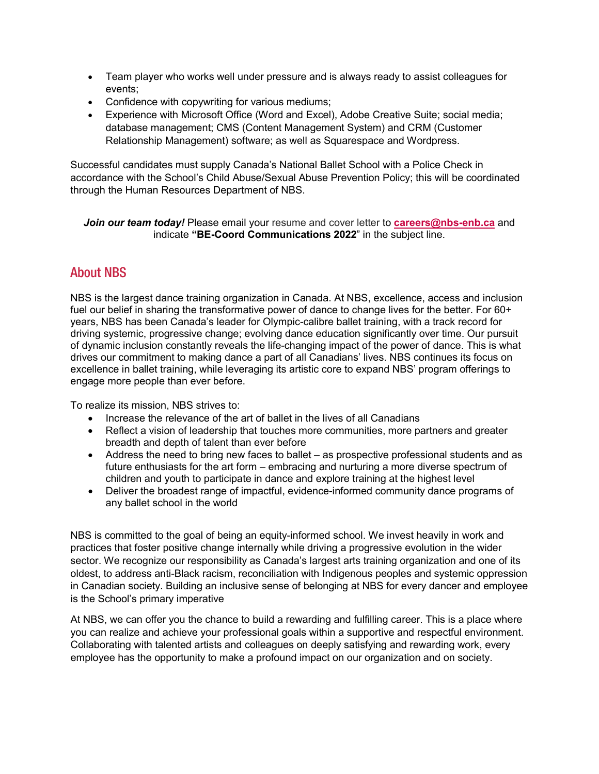- Team player who works well under pressure and is always ready to assist colleagues for events;
- Confidence with copywriting for various mediums;
- Experience with Microsoft Office (Word and Excel), Adobe Creative Suite; social media; database management; CMS (Content Management System) and CRM (Customer Relationship Management) software; as well as Squarespace and Wordpress.

Successful candidates must supply Canada's National Ballet School with a Police Check in accordance with the School's Child Abuse/Sexual Abuse Prevention Policy; this will be coordinated through the Human Resources Department of NBS.

## *Join our team today!* Please email your resume and cover letter to **[careers@nbs-enb.ca](mailto:careers@nbs-enb.ca)** and indicate **"BE-Coord Communications 2022**" in the subject line.

# About NBS

NBS is the largest dance training organization in Canada. At NBS, excellence, access and inclusion fuel our belief in sharing the transformative power of dance to change lives for the better. For 60+ years, NBS has been Canada's leader for Olympic-calibre ballet training, with a track record for driving systemic, progressive change; evolving dance education significantly over time. Our pursuit of dynamic inclusion constantly reveals the life-changing impact of the power of dance. This is what drives our commitment to making dance a part of all Canadians' lives. NBS continues its focus on excellence in ballet training, while leveraging its artistic core to expand NBS' program offerings to engage more people than ever before.

To realize its mission, NBS strives to:

- Increase the relevance of the art of ballet in the lives of all Canadians
- Reflect a vision of leadership that touches more communities, more partners and greater breadth and depth of talent than ever before
- Address the need to bring new faces to ballet as prospective professional students and as future enthusiasts for the art form – embracing and nurturing a more diverse spectrum of children and youth to participate in dance and explore training at the highest level
- Deliver the broadest range of impactful, evidence-informed community dance programs of any ballet school in the world

NBS is committed to the goal of being an equity-informed school. We invest heavily in work and practices that foster positive change internally while driving a progressive evolution in the wider sector. We recognize our responsibility as Canada's largest arts training organization and one of its oldest, to address anti-Black racism, reconciliation with Indigenous peoples and systemic oppression in Canadian society. Building an inclusive sense of belonging at NBS for every dancer and employee is the School's primary imperative

At NBS, we can offer you the chance to build a rewarding and fulfilling career. This is a place where you can realize and achieve your professional goals within a supportive and respectful environment. Collaborating with talented artists and colleagues on deeply satisfying and rewarding work, every employee has the opportunity to make a profound impact on our organization and on society.